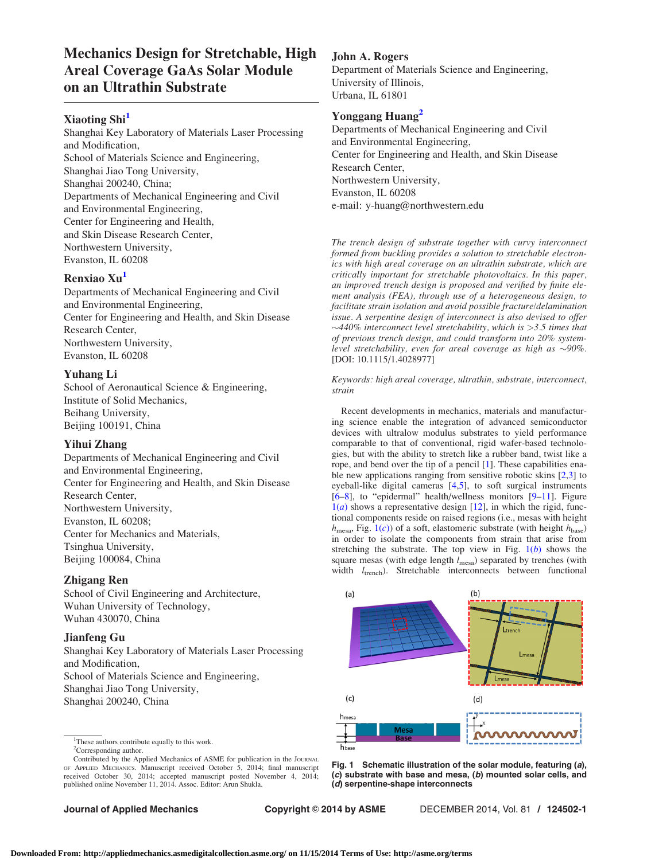# <span id="page-0-0"></span>Mechanics Design for Stretchable, High Areal Coverage GaAs Solar Module on an Ultrathin Substrate

# Xiaoting Shi<sup>1</sup>

Shanghai Key Laboratory of Materials Laser Processing and Modification, School of Materials Science and Engineering, Shanghai Jiao Tong University, Shanghai 200240, China; Departments of Mechanical Engineering and Civil and Environmental Engineering, Center for Engineering and Health, and Skin Disease Research Center, Northwestern University, Evanston, IL 60208

# Renxiao Xu<sup>1</sup>

Departments of Mechanical Engineering and Civil and Environmental Engineering, Center for Engineering and Health, and Skin Disease Research Center, Northwestern University, Evanston, IL 60208

#### Yuhang Li

School of Aeronautical Science & Engineering, Institute of Solid Mechanics, Beihang University, Beijing 100191, China

#### Yihui Zhang

Departments of Mechanical Engineering and Civil and Environmental Engineering, Center for Engineering and Health, and Skin Disease Research Center, Northwestern University, Evanston, IL 60208; Center for Mechanics and Materials, Tsinghua University, Beijing 100084, China

#### Zhigang Ren

School of Civil Engineering and Architecture, Wuhan University of Technology, Wuhan 430070, China

#### Jianfeng Gu

Shanghai Key Laboratory of Materials Laser Processing and Modification, School of Materials Science and Engineering, Shanghai Jiao Tong University, Shanghai 200240, China

<sup>1</sup>These authors contribute equally to this work. <sup>2</sup>Corresponding author.

Contributed by the Applied Mechanics of ASME for publication in the JOURNAL OF APPLIED MECHANICS. Manuscript received October 5, 2014; final manuscript received October 30, 2014; accepted manuscript posted November 4, 2014; published online November 11, 2014. Assoc. Editor: Arun Shukla.

John A. Rogers

Department of Materials Science and Engineering, University of Illinois, Urbana, IL 61801

### Yonggang Huang<sup>2</sup>

Departments of Mechanical Engineering and Civil and Environmental Engineering, Center for Engineering and Health, and Skin Disease Research Center, Northwestern University, Evanston, IL 60208 e-mail: y-huang@northwestern.edu

The trench design of substrate together with curvy interconnect formed from buckling provides a solution to stretchable electronics with high areal coverage on an ultrathin substrate, which are critically important for stretchable photovoltaics. In this paper, an improved trench design is proposed and verified by finite element analysis (FEA), through use of a heterogeneous design, to facilitate strain isolation and avoid possible fracture/delamination issue. A serpentine design of interconnect is also devised to offer  $\sim$ 440% interconnect level stretchability, which is  $>$ 3.5 times that of previous trench design, and could transform into 20% systemlevel stretchability, even for areal coverage as high as  $\sim$ 90%. [DOI: 10.1115/1.4028977]

Keywords: high areal coverage, ultrathin, substrate, interconnect, strain

Recent developments in mechanics, materials and manufacturing science enable the integration of advanced semiconductor devices with ultralow modulus substrates to yield performance comparable to that of conventional, rigid wafer-based technologies, but with the ability to stretch like a rubber band, twist like a rope, and bend over the tip of a pencil [\[1\]](#page-1-0). These capabilities enable new applications ranging from sensitive robotic skins [[2](#page-1-0),[3](#page-1-0)] to eyeball-like digital cameras [[4,5](#page-1-0)], to soft surgical instruments [[6–8](#page-2-0)], to "epidermal" health/wellness monitors [\[9–11](#page-2-0)]. Figure  $1(a)$  shows a representative design [[12\]](#page-2-0), in which the rigid, functional components reside on raised regions (i.e., mesas with height  $h_{\text{mesa}}$ , Fig. 1(c)) of a soft, elastomeric substrate (with height  $h_{\text{base}}$ ) in order to isolate the components from strain that arise from stretching the substrate. The top view in Fig.  $1(b)$  shows the square mesas (with edge length  $l_{\text{mesa}}$ ) separated by trenches (with width  $l_{\text{trench}}$ ). Stretchable interconnects between functional



Fig. 1 Schematic illustration of the solar module, featuring (a), (c) substrate with base and mesa, (b) mounted solar cells, and (d) serpentine-shape interconnects

Journal of Applied Mechanics Copyright © 2014 by ASME DECEMBER 2014, Vol. 81 / 124502-1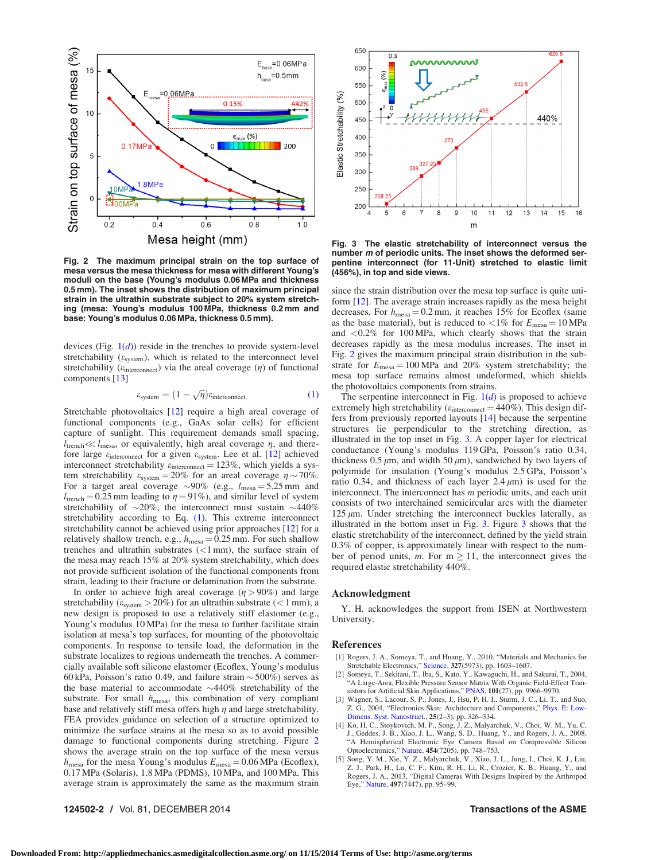<span id="page-1-0"></span>

Fig. 2 The maximum principal strain on the top surface of mesa versus the mesa thickness for mesa with different Young's moduli on the base (Young's modulus 0.06 MPa and thickness 0.5 mm). The inset shows the distribution of maximum principal strain in the ultrathin substrate subject to 20% system stretching (mesa: Young's modulus 100 MPa, thickness 0.2 mm and base: Young's modulus 0.06 MPa, thickness 0.5 mm).

devices (Fig.  $1(d)$  $1(d)$ ) reside in the trenches to provide system-level stretchability  $(\varepsilon_{\text{system}})$ , which is related to the interconnect level stretchability ( $\varepsilon$ <sub>interconnect</sub>) via the areal coverage ( $\eta$ ) of functional components [[13\]](#page-2-0)

$$
\varepsilon_{\text{system}} = (1 - \sqrt{\eta}) \varepsilon_{\text{interconnect}} \tag{1}
$$

Stretchable photovoltaics [\[12](#page-2-0)] require a high areal coverage of functional components (e.g., GaAs solar cells) for efficient capture of sunlight. This requirement demands small spacing,  $l_{\text{trench}} \ll l_{\text{mesa}}$ , or equivalently, high areal coverage  $\eta$ , and therefore large  $\varepsilon$ <sub>interconnect</sub> for a given  $\varepsilon$ <sub>system</sub>. Lee et al. [\[12](#page-2-0)] achieved interconnect stretchability  $\varepsilon$ <sub>interconnect</sub> = 123%, which yields a system stretchability  $\varepsilon_{\text{system}} = 20\%$  for an areal coverage  $\eta \sim 70\%$ . For a target areal coverage  $\sim 90\%$  (e.g.,  $l_{\text{mesa}} = 5.25 \text{ mm}$  and  $l_{\text{trench}} = 0.25$  mm leading to  $\eta = 91\%$ ), and similar level of system stretchability of  $\sim$ 20%, the interconnect must sustain  $\sim$ 440% stretchability according to Eq. (1). This extreme interconnect stretchability cannot be achieved using prior approaches [[12\]](#page-2-0) for a relatively shallow trench, e.g.,  $h_{\text{mesa}} = 0.25$  mm. For such shallow trenches and ultrathin substrates  $(<1$  mm), the surface strain of the mesa may reach 15% at 20% system stretchability, which does not provide sufficient isolation of the functional components from strain, leading to their fracture or delamination from the substrate.

In order to achieve high areal coverage  $(\eta > 90\%)$  and large stretchability ( $\varepsilon_{\text{system}} > 20\%$ ) for an ultrathin substrate (< 1 mm), a new design is proposed to use a relatively stiff elastomer (e.g., Young's modulus 10 MPa) for the mesa to further facilitate strain isolation at mesa's top surfaces, for mounting of the photovoltaic components. In response to tensile load, the deformation in the substrate localizes to regions underneath the trenches. A commercially available soft silicone elastomer (Ecoflex, Young's modulus 60 kPa, Poisson's ratio 0.49, and failure strain  $\sim$  500%) serves as the base material to accommodate  $\sim$ 440% stretchability of the substrate. For small  $h_{\text{mesa}}$ , this combination of very compliant base and relatively stiff mesa offers high  $\eta$  and large stretchability. FEA provides guidance on selection of a structure optimized to minimize the surface strains at the mesa so as to avoid possible damage to functional components during stretching. Figure 2 shows the average strain on the top surface of the mesa versus  $h_{\text{mesa}}$  for the mesa Young's modulus  $E_{\text{mesa}} = 0.06 \text{ MPa}$  (Ecoflex), 0.17 MPa (Solaris), 1.8 MPa (PDMS), 10 MPa, and 100 MPa. This average strain is approximately the same as the maximum strain

124502-2 / Vol. 81, DECEMBER 2014 Transactions of the ASME



Fig. 3 The elastic stretchability of interconnect versus the number m of periodic units. The inset shows the deformed serpentine interconnect (for 11-Unit) stretched to elastic limit (456%), in top and side views.

since the strain distribution over the mesa top surface is quite uniform [[12\]](#page-2-0). The average strain increases rapidly as the mesa height decreases. For  $h_{\text{mesa}} = 0.2 \text{ mm}$ , it reaches 15% for Ecoflex (same as the base material), but is reduced to  $\langle 1\%$  for  $E_{\text{mesa}} = 10 \text{ MPa}$ and <0.2% for 100 MPa, which clearly shows that the strain decreases rapidly as the mesa modulus increases. The inset in Fig. 2 gives the maximum principal strain distribution in the substrate for  $E_{\text{mesa}} = 100 \text{ MPa}$  and 20% system stretchability; the mesa top surface remains almost undeformed, which shields the photovoltaics components from strains.

The serpentine interconnect in Fig.  $1(d)$  $1(d)$  is proposed to achieve extremely high stretchability ( $\varepsilon$ <sub>interconnect</sub> = 440%). This design differs from previously reported layouts [[14\]](#page-2-0) because the serpentine structures lie perpendicular to the stretching direction, as illustrated in the top inset in Fig. 3. A copper layer for electrical conductance (Young's modulus 119 GPa, Poisson's ratio 0.34, thickness  $0.5 \mu m$ , and width  $50 \mu m$ ), sandwiched by two layers of polyimide for insulation (Young's modulus 2.5 GPa, Poisson's ratio 0.34, and thickness of each layer  $2.4 \mu m$ ) is used for the interconnect. The interconnect has  $m$  periodic units, and each unit consists of two interchained semicircular arcs with the diameter  $125 \mu m$ . Under stretching the interconnect buckles laterally, as illustrated in the bottom inset in Fig. 3. Figure 3 shows that the elastic stretchability of the interconnect, defined by the yield strain 0.3% of copper, is approximately linear with respect to the number of period units, m. For  $m > 11$ , the interconnect gives the required elastic stretchability 440%.

#### Acknowledgment

Y. H. acknowledges the support from ISEN at Northwestern University.

#### References

- [1] Rogers, J. A., Someya, T., and Huang, Y., 2010, "Materials and Mechanics for Stretchable Electronics," [Science](http://dx.doi.org/10.1126/science.1182383), 327(5973), pp. 1603–1607.
- [2] Someya, T., Sekitani, T., Iba, S., Kato, Y., Kawaguchi, H., and Sakurai, T., 2004, "A Large-Area, Flexible Pressure Sensor Matrix With Organic Field-Effect Transistors for Artificial Skin Applications," [PNAS,](http://dx.doi.org/10.1073/pnas.0401918101) 101(27), pp. 9966–9970.
- [3] Wagner, S., Lacour, S. P., Jones, J., Hsu, P. H. I., Sturm, J. C., Li, T., and Suo, Z. G., 2004, "Electronics Skin: Architecture and Components," [Phys. E: Low-](http://dx.doi.org/10.1016/j.physe.2004.06.032)[Dimens. Syst. Nanostruct.](http://dx.doi.org/10.1016/j.physe.2004.06.032), 25(2–3), pp. 326–334.
- [4] Ko, H. C., Stoykovich, M. P., Song, J. Z., Malyarchuk, V., Choi, W. M., Yu, C. J., Geddes, J. B., Xiao, J. L., Wang, S. D., Huang, Y., and Rogers, J. A., 2008, "A Hemispherical Electronic Eye Camera Based on Compressible Silicon Optoelectronics," [Nature](http://dx.doi.org/10.1038/nature07113), 454(7205), pp. 748–753. [5] Song, Y. M., Xie, Y. Z., Malyarchuk, V., Xiao, J. L., Jung, I., Choi, K. J., Liu,
- Z. J., Park, H., Lu, C. F., Kim, R. H., Li, R., Crozier, K. B., Huang, Y., and Rogers, J. A., 2013, "Digital Cameras With Designs Inspired by the Arthropod Eye," [Nature](http://dx.doi.org/10.1038/nature12083), 497(7447), pp. 95–99.